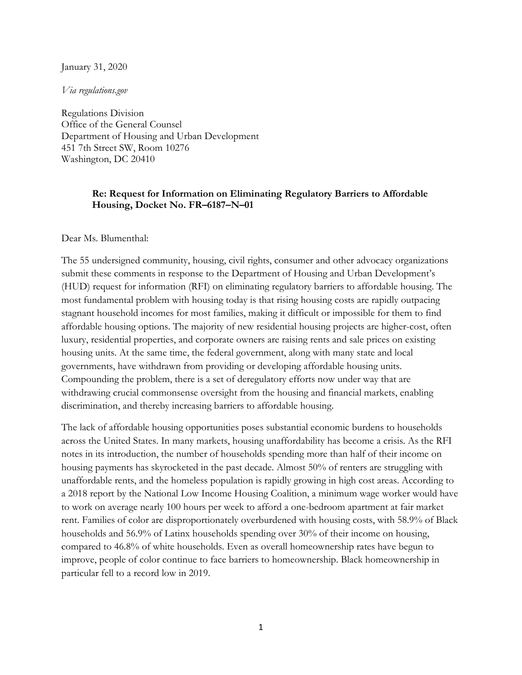January 31, 2020

*Via regulations.gov* 

Regulations Division Office of the General Counsel Department of Housing and Urban Development 451 7th Street SW, Room 10276 Washington, DC 20410

## **Re: Request for Information on Eliminating Regulatory Barriers to Affordable Housing, Docket No. FR–6187–N–01**

Dear Ms. Blumenthal:

The 55 undersigned community, housing, civil rights, consumer and other advocacy organizations submit these comments in response to the Department of Housing and Urban Development's (HUD) request for information (RFI) on eliminating regulatory barriers to affordable housing. The most fundamental problem with housing today is that rising housing costs are rapidly outpacing stagnant household incomes for most families, making it difficult or impossible for them to find affordable housing options. The majority of new residential housing projects are higher-cost, often luxury, residential properties, and corporate owners are raising rents and sale prices on existing housing units. At the same time, the federal government, along with many state and local governments, have withdrawn from providing or developing affordable housing units. Compounding the problem, there is a set of deregulatory efforts now under way that are withdrawing crucial commonsense oversight from the housing and financial markets, enabling discrimination, and thereby increasing barriers to affordable housing.

The lack of affordable housing opportunities poses substantial economic burdens to households across the United States. In many markets, housing unaffordability has become a crisis. As the RFI notes in its introduction, the number of households spending more than half of their income on housing payments has skyrocketed in the past decade. Almost 50% of renters are struggling with unaffordable rents, and the homeless population is rapidly growing in high cost areas. According to a 2018 report by the National Low Income Housing Coalition, a minimum wage worker would have to work on average nearly 100 hours per week to afford a one-bedroom apartment at fair market rent. Families of color are disproportionately overburdened with housing costs, with 58.9% of Black households and 56.9% of Latinx households spending over 30% of their income on housing, compared to 46.8% of white households. Even as overall homeownership rates have begun to improve, people of color continue to face barriers to homeownership. Black homeownership in particular fell to a record low in 2019.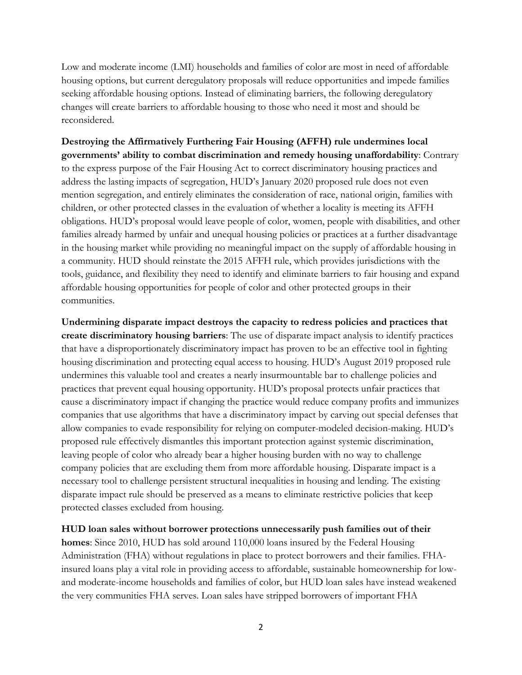Low and moderate income (LMI) households and families of color are most in need of affordable housing options, but current deregulatory proposals will reduce opportunities and impede families seeking affordable housing options. Instead of eliminating barriers, the following deregulatory changes will create barriers to affordable housing to those who need it most and should be reconsidered.

**Destroying the Affirmatively Furthering Fair Housing (AFFH) rule undermines local governments' ability to combat discrimination and remedy housing unaffordability**: Contrary to the express purpose of the Fair Housing Act to correct discriminatory housing practices and address the lasting impacts of segregation, HUD's January 2020 proposed rule does not even mention segregation, and entirely eliminates the consideration of race, national origin, families with children, or other protected classes in the evaluation of whether a locality is meeting its AFFH obligations. HUD's proposal would leave people of color, women, people with disabilities, and other families already harmed by unfair and unequal housing policies or practices at a further disadvantage in the housing market while providing no meaningful impact on the supply of affordable housing in a community. HUD should reinstate the 2015 AFFH rule, which provides jurisdictions with the tools, guidance, and flexibility they need to identify and eliminate barriers to fair housing and expand affordable housing opportunities for people of color and other protected groups in their communities.

**Undermining disparate impact destroys the capacity to redress policies and practices that create discriminatory housing barriers**: The use of disparate impact analysis to identify practices that have a disproportionately discriminatory impact has proven to be an effective tool in fighting housing discrimination and protecting equal access to housing. HUD's August 2019 proposed rule undermines this valuable tool and creates a nearly insurmountable bar to challenge policies and practices that prevent equal housing opportunity. HUD's proposal protects unfair practices that cause a discriminatory impact if changing the practice would reduce company profits and immunizes companies that use algorithms that have a discriminatory impact by carving out special defenses that allow companies to evade responsibility for relying on computer-modeled decision-making. HUD's proposed rule effectively dismantles this important protection against systemic discrimination, leaving people of color who already bear a higher housing burden with no way to challenge company policies that are excluding them from more affordable housing. Disparate impact is a necessary tool to challenge persistent structural inequalities in housing and lending. The existing disparate impact rule should be preserved as a means to eliminate restrictive policies that keep protected classes excluded from housing.

**HUD loan sales without borrower protections unnecessarily push families out of their** 

**homes**: Since 2010, HUD has sold around 110,000 loans insured by the Federal Housing Administration (FHA) without regulations in place to protect borrowers and their families. FHAinsured loans play a vital role in providing access to affordable, sustainable homeownership for lowand moderate-income households and families of color, but HUD loan sales have instead weakened the very communities FHA serves. Loan sales have stripped borrowers of important FHA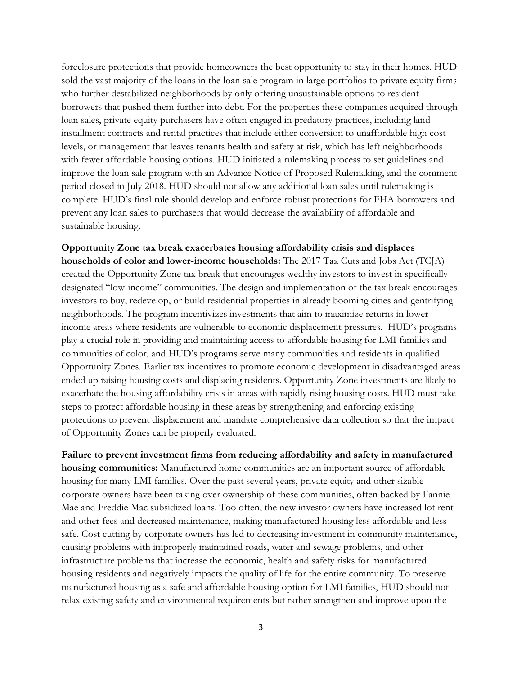foreclosure protections that provide homeowners the best opportunity to stay in their homes. HUD sold the vast majority of the loans in the loan sale program in large portfolios to private equity firms who further destabilized neighborhoods by only offering unsustainable options to resident borrowers that pushed them further into debt. For the properties these companies acquired through loan sales, private equity purchasers have often engaged in predatory practices, including land installment contracts and rental practices that include either conversion to unaffordable high cost levels, or management that leaves tenants health and safety at risk, which has left neighborhoods with fewer affordable housing options. HUD initiated a rulemaking process to set guidelines and improve the loan sale program with an Advance Notice of Proposed Rulemaking, and the comment period closed in July 2018. HUD should not allow any additional loan sales until rulemaking is complete. HUD's final rule should develop and enforce robust protections for FHA borrowers and prevent any loan sales to purchasers that would decrease the availability of affordable and sustainable housing.

## **Opportunity Zone tax break exacerbates housing affordability crisis and displaces**

**households of color and lower-income households:** The 2017 Tax Cuts and Jobs Act (TCJA) created the Opportunity Zone tax break that encourages wealthy investors to invest in specifically designated "low-income" communities. The design and implementation of the tax break encourages investors to buy, redevelop, or build residential properties in already booming cities and gentrifying neighborhoods. The program incentivizes investments that aim to maximize returns in lowerincome areas where residents are vulnerable to economic displacement pressures. HUD's programs play a crucial role in providing and maintaining access to affordable housing for LMI families and communities of color, and HUD's programs serve many communities and residents in qualified Opportunity Zones. Earlier tax incentives to promote economic development in disadvantaged areas ended up raising housing costs and displacing residents. Opportunity Zone investments are likely to exacerbate the housing affordability crisis in areas with rapidly rising housing costs. HUD must take steps to protect affordable housing in these areas by strengthening and enforcing existing protections to prevent displacement and mandate comprehensive data collection so that the impact of Opportunity Zones can be properly evaluated.

**Failure to prevent investment firms from reducing affordability and safety in manufactured housing communities:** Manufactured home communities are an important source of affordable housing for many LMI families. Over the past several years, private equity and other sizable corporate owners have been taking over ownership of these communities, often backed by Fannie Mae and Freddie Mac subsidized loans. Too often, the new investor owners have increased lot rent and other fees and decreased maintenance, making manufactured housing less affordable and less safe. Cost cutting by corporate owners has led to decreasing investment in community maintenance, causing problems with improperly maintained roads, water and sewage problems, and other infrastructure problems that increase the economic, health and safety risks for manufactured housing residents and negatively impacts the quality of life for the entire community. To preserve manufactured housing as a safe and affordable housing option for LMI families, HUD should not relax existing safety and environmental requirements but rather strengthen and improve upon the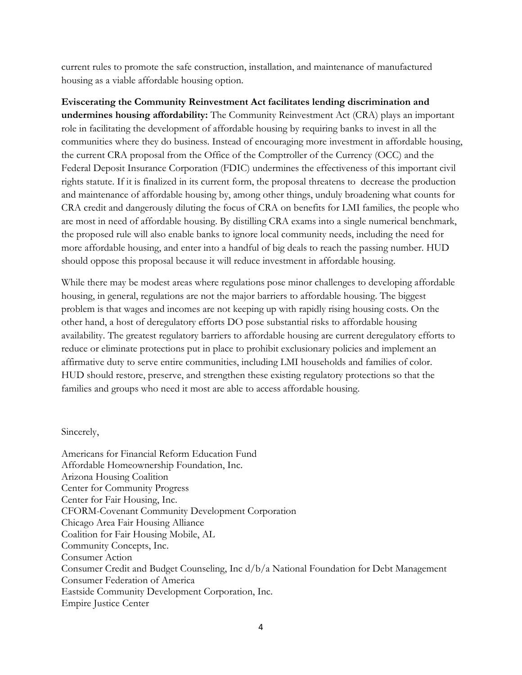current rules to promote the safe construction, installation, and maintenance of manufactured housing as a viable affordable housing option.

**Eviscerating the Community Reinvestment Act facilitates lending discrimination and undermines housing affordability:** The Community Reinvestment Act (CRA) plays an important role in facilitating the development of affordable housing by requiring banks to invest in all the communities where they do business. Instead of encouraging more investment in affordable housing, the current CRA proposal from the Office of the Comptroller of the Currency (OCC) and the Federal Deposit Insurance Corporation (FDIC) undermines the effectiveness of this important civil rights statute. If it is finalized in its current form, the proposal threatens to decrease the production and maintenance of affordable housing by, among other things, unduly broadening what counts for CRA credit and dangerously diluting the focus of CRA on benefits for LMI families, the people who are most in need of affordable housing. By distilling CRA exams into a single numerical benchmark, the proposed rule will also enable banks to ignore local community needs, including the need for more affordable housing, and enter into a handful of big deals to reach the passing number. HUD should oppose this proposal because it will reduce investment in affordable housing.

While there may be modest areas where regulations pose minor challenges to developing affordable housing, in general, regulations are not the major barriers to affordable housing. The biggest problem is that wages and incomes are not keeping up with rapidly rising housing costs. On the other hand, a host of deregulatory efforts DO pose substantial risks to affordable housing availability. The greatest regulatory barriers to affordable housing are current deregulatory efforts to reduce or eliminate protections put in place to prohibit exclusionary policies and implement an affirmative duty to serve entire communities, including LMI households and families of color. HUD should restore, preserve, and strengthen these existing regulatory protections so that the families and groups who need it most are able to access affordable housing.

Sincerely,

Americans for Financial Reform Education Fund Affordable Homeownership Foundation, Inc. Arizona Housing Coalition Center for Community Progress Center for Fair Housing, Inc. CFORM-Covenant Community Development Corporation Chicago Area Fair Housing Alliance Coalition for Fair Housing Mobile, AL Community Concepts, Inc. Consumer Action Consumer Credit and Budget Counseling, Inc d/b/a National Foundation for Debt Management Consumer Federation of America Eastside Community Development Corporation, Inc. Empire Justice Center